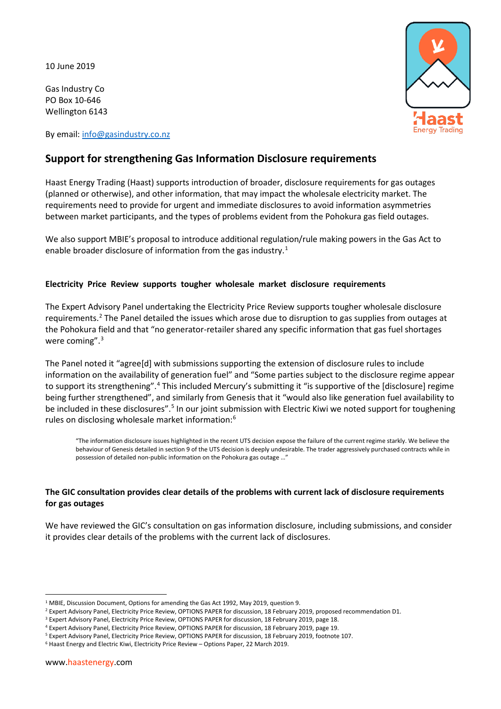10 June 2019

Gas Industry Co PO Box 10-646 Wellington 6143

By email: [info@gasindustry.co.nz](mailto:info@gasindustry.co.nz)



# **Support for strengthening Gas Information Disclosure requirements**

Haast Energy Trading (Haast) supports introduction of broader, disclosure requirements for gas outages (planned or otherwise), and other information, that may impact the wholesale electricity market. The requirements need to provide for urgent and immediate disclosures to avoid information asymmetries between market participants, and the types of problems evident from the Pohokura gas field outages.

We also support MBIE's proposal to introduce additional regulation/rule making powers in the Gas Act to enable broader disclosure of information from the gas industry.<sup>[1](#page-0-0)</sup>

#### **Electricity Price Review supports tougher wholesale market disclosure requirements**

The Expert Advisory Panel undertaking the Electricity Price Review supports tougher wholesale disclosure requirements.<sup>[2](#page-0-1)</sup> The Panel detailed the issues which arose due to disruption to gas supplies from outages at the Pohokura field and that "no generator-retailer shared any specific information that gas fuel shortages were coming".<sup>[3](#page-0-2)</sup>

The Panel noted it "agree[d] with submissions supporting the extension of disclosure rules to include information on the availability of generation fuel" and "Some parties subject to the disclosure regime appear to support its strengthening".<sup>[4](#page-0-3)</sup> This included Mercury's submitting it "is supportive of the [disclosure] regime being further strengthened", and similarly from Genesis that it "would also like generation fuel availability to be included in these disclosures".<sup>[5](#page-0-4)</sup> In our joint submission with Electric Kiwi we noted support for toughening rules on disclosing wholesale market information:<sup>[6](#page-0-5)</sup>

"The information disclosure issues highlighted in the recent UTS decision expose the failure of the current regime starkly. We believe the behaviour of Genesis detailed in section 9 of the UTS decision is deeply undesirable. The trader aggressively purchased contracts while in possession of detailed non-public information on the Pohokura gas outage …"

## **The GIC consultation provides clear details of the problems with current lack of disclosure requirements for gas outages**

We have reviewed the GIC's consultation on gas information disclosure, including submissions, and consider it provides clear details of the problems with the current lack of disclosures.

<span id="page-0-0"></span><sup>&</sup>lt;sup>1</sup> MBIE, Discussion Document, Options for amending the Gas Act 1992, May 2019, question 9.

<span id="page-0-1"></span><sup>2</sup> Expert Advisory Panel, Electricity Price Review, OPTIONS PAPER for discussion, 18 February 2019, proposed recommendation D1.

<sup>&</sup>lt;sup>3</sup> Expert Advisory Panel, Electricity Price Review, OPTIONS PAPER for discussion, 18 February 2019, page 18.

<span id="page-0-3"></span><span id="page-0-2"></span><sup>4</sup> Expert Advisory Panel, Electricity Price Review, OPTIONS PAPER for discussion, 18 February 2019, page 19.

<span id="page-0-5"></span><span id="page-0-4"></span><sup>5</sup> Expert Advisory Panel, Electricity Price Review, OPTIONS PAPER for discussion, 18 February 2019, footnote 107.

<sup>6</sup> Haast Energy and Electric Kiwi, Electricity Price Review – Options Paper, 22 March 2019.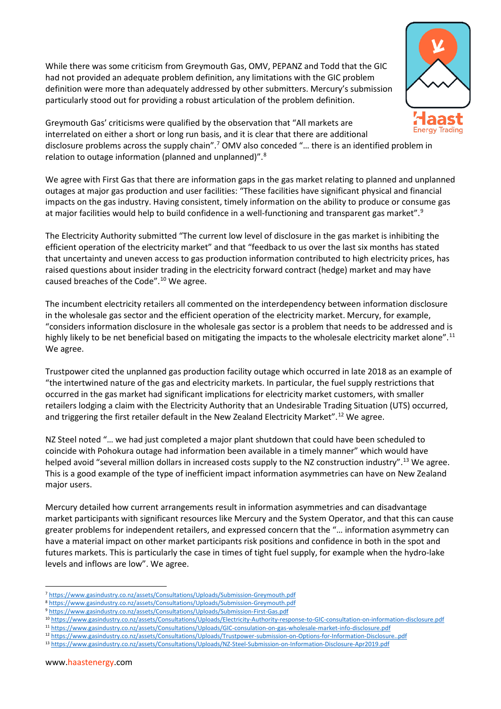While there was some criticism from Greymouth Gas, OMV, PEPANZ and Todd that the GIC had not provided an adequate problem definition, any limitations with the GIC problem definition were more than adequately addressed by other submitters. Mercury's submission particularly stood out for providing a robust articulation of the problem definition.



Greymouth Gas' criticisms were qualified by the observation that "All markets are interrelated on either a short or long run basis, and it is clear that there are additional disclosure problems across the supply chain".<sup>[7](#page-1-0)</sup> OMV also conceded "... there is an identified problem in relation to outage information (planned and unplanned)".[8](#page-1-1)

We agree with First Gas that there are information gaps in the gas market relating to planned and unplanned outages at major gas production and user facilities: "These facilities have significant physical and financial impacts on the gas industry. Having consistent, timely information on the ability to produce or consume gas at major facilities would help to build confidence in a well-functioning and transparent gas market".<sup>[9](#page-1-2)</sup>

The Electricity Authority submitted "The current low level of disclosure in the gas market is inhibiting the efficient operation of the electricity market" and that "feedback to us over the last six months has stated that uncertainty and uneven access to gas production information contributed to high electricity prices, has raised questions about insider trading in the electricity forward contract (hedge) market and may have caused breaches of the Code".[10](#page-1-3) We agree.

The incumbent electricity retailers all commented on the interdependency between information disclosure in the wholesale gas sector and the efficient operation of the electricity market. Mercury, for example, "considers information disclosure in the wholesale gas sector is a problem that needs to be addressed and is highly likely to be net beneficial based on mitigating the impacts to the wholesale electricity market alone".<sup>[11](#page-1-4)</sup> We agree.

Trustpower cited the unplanned gas production facility outage which occurred in late 2018 as an example of "the intertwined nature of the gas and electricity markets. In particular, the fuel supply restrictions that occurred in the gas market had significant implications for electricity market customers, with smaller retailers lodging a claim with the Electricity Authority that an Undesirable Trading Situation (UTS) occurred, and triggering the first retailer default in the New Zealand Electricity Market".<sup>[12](#page-1-5)</sup> We agree.

NZ Steel noted "… we had just completed a major plant shutdown that could have been scheduled to coincide with Pohokura outage had information been available in a timely manner" which would have helped avoid "several million dollars in increased costs supply to the NZ construction industry".<sup>[13](#page-1-6)</sup> We agree. This is a good example of the type of inefficient impact information asymmetries can have on New Zealand major users.

Mercury detailed how current arrangements result in information asymmetries and can disadvantage market participants with significant resources like Mercury and the System Operator, and that this can cause greater problems for independent retailers, and expressed concern that the "… information asymmetry can have a material impact on other market participants risk positions and confidence in both in the spot and futures markets. This is particularly the case in times of tight fuel supply, for example when the hydro-lake levels and inflows are low". We agree.

- <span id="page-1-4"></span><span id="page-1-3"></span><sup>11</sup> <https://www.gasindustry.co.nz/assets/Consultations/Uploads/GIC-consulation-on-gas-wholesale-market-info-disclosure.pdf>
- <span id="page-1-5"></span><sup>12</sup> <https://www.gasindustry.co.nz/assets/Consultations/Uploads/Trustpower-submission-on-Options-for-Information-Disclosure..pdf>

 <sup>7</sup> <https://www.gasindustry.co.nz/assets/Consultations/Uploads/Submission-Greymouth.pdf>

<span id="page-1-2"></span><span id="page-1-1"></span><span id="page-1-0"></span><sup>8</sup> <https://www.gasindustry.co.nz/assets/Consultations/Uploads/Submission-Greymouth.pdf>

<sup>9</sup> <https://www.gasindustry.co.nz/assets/Consultations/Uploads/Submission-First-Gas.pdf>

<sup>10</sup> <https://www.gasindustry.co.nz/assets/Consultations/Uploads/Electricity-Authority-response-to-GIC-consultation-on-information-disclosure.pdf>

<span id="page-1-6"></span><sup>13</sup> <https://www.gasindustry.co.nz/assets/Consultations/Uploads/NZ-Steel-Submission-on-Information-Disclosure-Apr2019.pdf>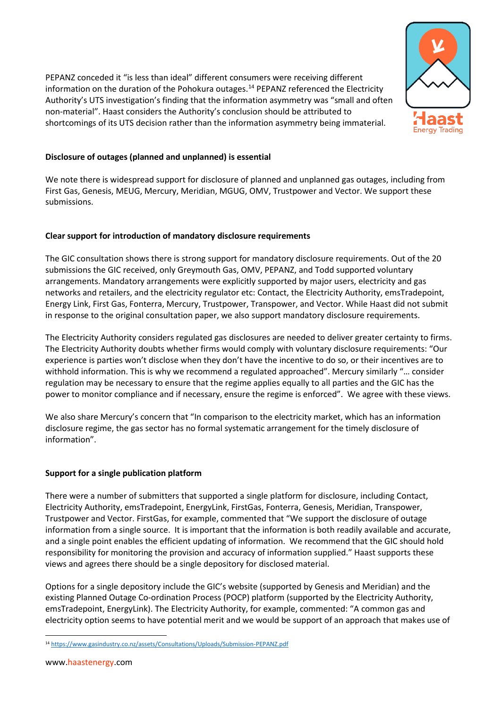PEPANZ conceded it "is less than ideal" different consumers were receiving different information on the duration of the Pohokura outages. [14](#page-2-0) PEPANZ referenced the Electricity Authority's UTS investigation's finding that the information asymmetry was "small and often non-material". Haast considers the Authority's conclusion should be attributed to shortcomings of its UTS decision rather than the information asymmetry being immaterial.



## **Disclosure of outages (planned and unplanned) is essential**

We note there is widespread support for disclosure of planned and unplanned gas outages, including from First Gas, Genesis, MEUG, Mercury, Meridian, MGUG, OMV, Trustpower and Vector. We support these submissions.

#### **Clear support for introduction of mandatory disclosure requirements**

The GIC consultation shows there is strong support for mandatory disclosure requirements. Out of the 20 submissions the GIC received, only Greymouth Gas, OMV, PEPANZ, and Todd supported voluntary arrangements. Mandatory arrangements were explicitly supported by major users, electricity and gas networks and retailers, and the electricity regulator etc: Contact, the Electricity Authority, emsTradepoint, Energy Link, First Gas, Fonterra, Mercury, Trustpower, Transpower, and Vector. While Haast did not submit in response to the original consultation paper, we also support mandatory disclosure requirements.

The Electricity Authority considers regulated gas disclosures are needed to deliver greater certainty to firms. The Electricity Authority doubts whether firms would comply with voluntary disclosure requirements: "Our experience is parties won't disclose when they don't have the incentive to do so, or their incentives are to withhold information. This is why we recommend a regulated approached". Mercury similarly "… consider regulation may be necessary to ensure that the regime applies equally to all parties and the GIC has the power to monitor compliance and if necessary, ensure the regime is enforced". We agree with these views.

We also share Mercury's concern that "In comparison to the electricity market, which has an information disclosure regime, the gas sector has no formal systematic arrangement for the timely disclosure of information".

#### **Support for a single publication platform**

There were a number of submitters that supported a single platform for disclosure, including Contact, Electricity Authority, emsTradepoint, EnergyLink, FirstGas, Fonterra, Genesis, Meridian, Transpower, Trustpower and Vector. FirstGas, for example, commented that "We support the disclosure of outage information from a single source. It is important that the information is both readily available and accurate, and a single point enables the efficient updating of information. We recommend that the GIC should hold responsibility for monitoring the provision and accuracy of information supplied." Haast supports these views and agrees there should be a single depository for disclosed material.

Options for a single depository include the GIC's website (supported by Genesis and Meridian) and the existing Planned Outage Co-ordination Process (POCP) platform (supported by the Electricity Authority, emsTradepoint, EnergyLink). The Electricity Authority, for example, commented: "A common gas and electricity option seems to have potential merit and we would be support of an approach that makes use of

<span id="page-2-0"></span> <sup>14</sup> <https://www.gasindustry.co.nz/assets/Consultations/Uploads/Submission-PEPANZ.pdf>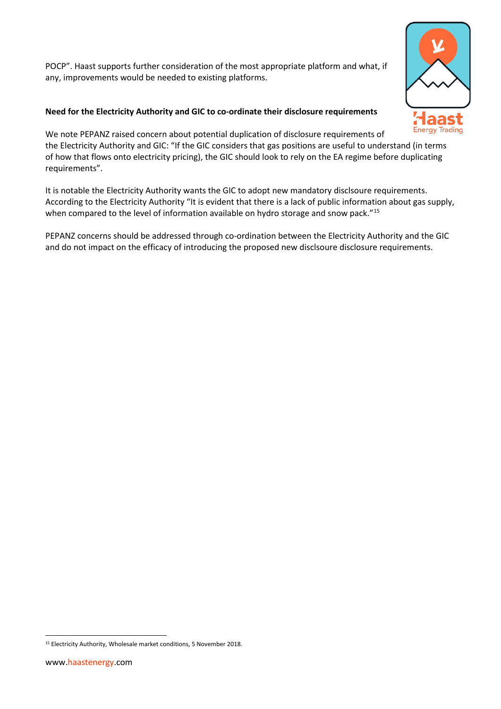POCP". Haast supports further consideration of the most appropriate platform and what, if any, improvements would be needed to existing platforms.

## **Need for the Electricity Authority and GIC to co-ordinate their disclosure requirements**



We note PEPANZ raised concern about potential duplication of disclosure requirements of the Electricity Authority and GIC: "If the GIC considers that gas positions are useful to understand (in terms of how that flows onto electricity pricing), the GIC should look to rely on the EA regime before duplicating requirements".

It is notable the Electricity Authority wants the GIC to adopt new mandatory disclsoure requirements. According to the Electricity Authority "It is evident that there is a lack of public information about gas supply, when compared to the level of information available on hydro storage and snow pack."<sup>[15](#page-3-0)</sup>

PEPANZ concerns should be addressed through co-ordination between the Electricity Authority and the GIC and do not impact on the efficacy of introducing the proposed new disclsoure disclosure requirements.

<span id="page-3-0"></span><sup>&</sup>lt;sup>15</sup> Electricity Authority, Wholesale market conditions, 5 November 2018.